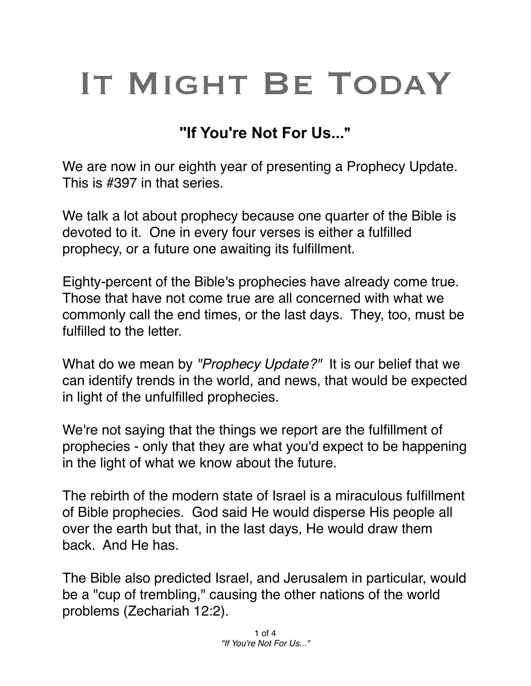## IT MIGHT BE TODAY

## **"If You're Not For Us..."**

We are now in our eighth year of presenting a Prophecy Update. This is #397 in that series.

We talk a lot about prophecy because one quarter of the Bible is devoted to it. One in every four verses is either a fulfilled prophecy, or a future one awaiting its fulfillment.

Eighty-percent of the Bible's prophecies have already come true. Those that have not come true are all concerned with what we commonly call the end times, or the last days. They, too, must be fulfilled to the letter.

What do we mean by *"Prophecy Update?"* It is our belief that we can identify trends in the world, and news, that would be expected in light of the unfulfilled prophecies.

We're not saying that the things we report are the fulfillment of prophecies - only that they are what you'd expect to be happening in the light of what we know about the future.

The rebirth of the modern state of Israel is a miraculous fulfillment of Bible prophecies. God said He would disperse His people all over the earth but that, in the last days, He would draw them back. And He has.

The Bible also predicted Israel, and Jerusalem in particular, would be a "cup of trembling," causing the other nations of the world problems (Zechariah 12:2).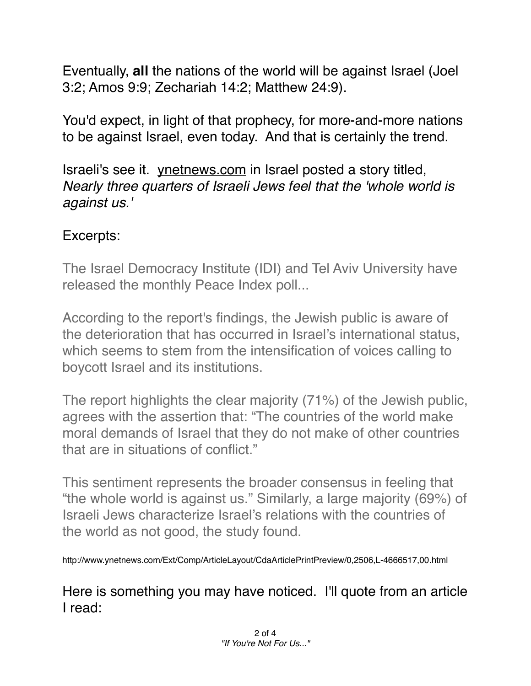Eventually, **all** the nations of the world will be against Israel (Joel 3:2; Amos 9:9; Zechariah 14:2; Matthew 24:9).

You'd expect, in light of that prophecy, for more-and-more nations to be against Israel, even today. And that is certainly the trend.

Israeli's see it. [ynetnews.com](http://ynetnews.com) in Israel posted a story titled, *Nearly three quarters of Israeli Jews feel that the 'whole world is against us.'*

## Excerpts:

The Israel Democracy Institute (IDI) and Tel Aviv University have released the monthly Peace Index poll...

According to the report's findings, the Jewish public is aware of the deterioration that has occurred in Israel's international status, which seems to stem from the intensification of voices calling to boycott Israel and its institutions.

The report highlights the clear majority (71%) of the Jewish public, agrees with the assertion that: "The countries of the world make moral demands of Israel that they do not make of other countries that are in situations of conflict."

This sentiment represents the broader consensus in feeling that "the whole world is against us." Similarly, a large majority (69%) of Israeli Jews characterize Israel's relations with the countries of the world as not good, the study found.

http://www.ynetnews.com/Ext/Comp/ArticleLayout/CdaArticlePrintPreview/0,2506,L-4666517,00.html

Here is something you may have noticed. I'll quote from an article I read: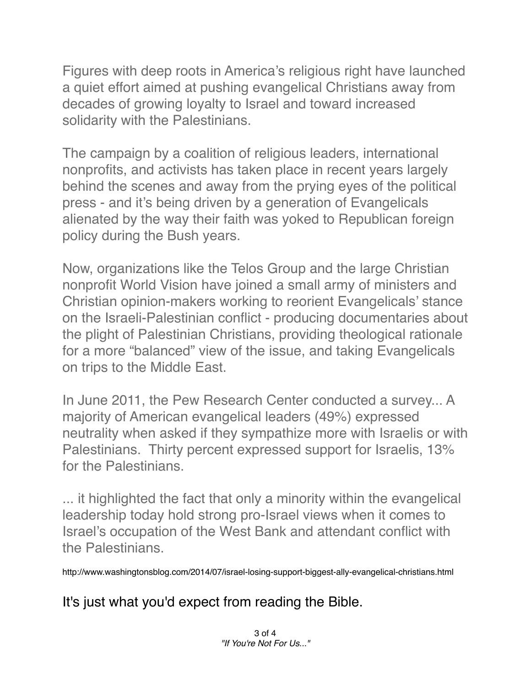Figures with deep roots in America's religious right have launched a quiet effort aimed at pushing evangelical Christians away from decades of growing loyalty to Israel and toward increased solidarity with the Palestinians.

The campaign by a coalition of religious leaders, international nonprofits, and activists has taken place in recent years largely behind the scenes and away from the prying eyes of the political press - and it's being driven by a generation of Evangelicals alienated by the way their faith was yoked to Republican foreign policy during the Bush years.

Now, organizations like the Telos Group and the large Christian nonprofit World Vision have joined a small army of ministers and Christian opinion-makers working to reorient Evangelicals' stance on the Israeli-Palestinian conflict - producing documentaries about the plight of Palestinian Christians, providing theological rationale for a more "balanced" view of the issue, and taking Evangelicals on trips to the Middle East.

In June 2011, the Pew Research Center conducted a survey... A majority of American evangelical leaders (49%) expressed neutrality when asked if they sympathize more with Israelis or with Palestinians. Thirty percent expressed support for Israelis, 13% for the Palestinians.

... it highlighted the fact that only a minority within the evangelical leadership today hold strong pro-Israel views when it comes to Israel's occupation of the West Bank and attendant conflict with the Palestinians.

http://www.washingtonsblog.com/2014/07/israel-losing-support-biggest-ally-evangelical-christians.html

It's just what you'd expect from reading the Bible.